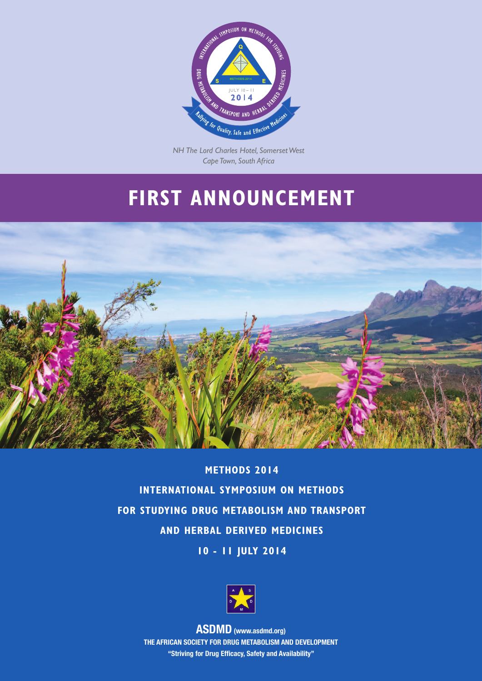

*NH The Lord Charles Hotel, Somerset West Cape Town, South Africa*

# **FIRST ANNOUNCEMENT**



**METHODS 2014 INTERNATIONAL SYMPOSIUM ON METHODS FOR STUDYING DRUG METABOLISM AND TRANSPORT AND HERBAL DERIVED MEDICINES 10 - 11 JULY 2014**



**ASDMD (www.asdmd.org) THE AFRICAN SOCIETY FOR DRUG METABOLISM AND DEVELOPMENT "Striving for Drug Efficacy, Safety and Availability"**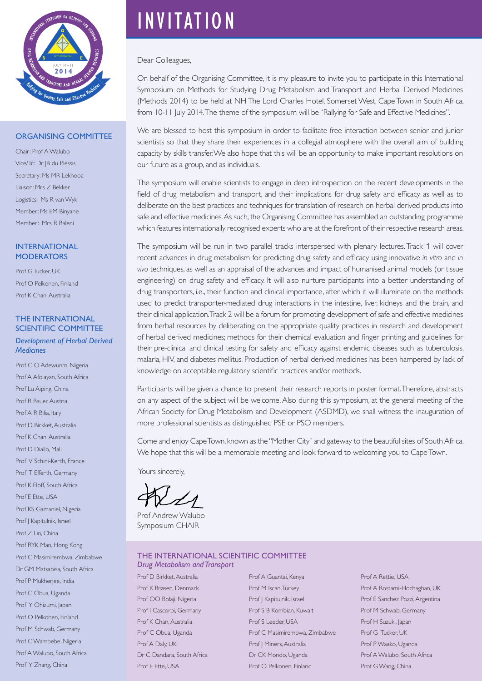

#### ORGANISING COMMITTEE

Chair: Prof A Walubo Vice/Tr: Dr JB du Plessis Secretary: Ms MR Lekhooa Liaison: Mrs Z Bekker Logistics: Ms R van Wyk Member: Ms EM Binyane Member: Mrs R Baleni

#### INTERNATIONAL **MODERATORS**

Prof G Tucker UK Prof O Pelkonen, Finland Prof K Chan, Australia

#### THE INTERNATIONAL SCIENTIFIC COMMITTEE

*Development of Herbal Derived Medicines*

Prof C O Adewunm, Nigeria Prof A Afolayan, South Africa Prof Lu Aiping, China Prof R Bauer, Austria Prof A R Bilia, Italy Prof D Birkket, Australia Prof K Chan, Australia Prof D Diallo, Mali Prof V Schini-Kerth, France Prof T Efferth, Germany Prof K Eloff, South Africa Prof E Ette, USA Prof KS Gamaniel, Nigeria Prof | Kapitulnik, Israel Prof Z Lin, China Prof RYK Man, Hong Kong Prof C Masimirembwa, Zimbabwe Dr GM Matsabisa, South Africa Prof P Mukherjee, India Prof C Obua, Uganda Prof Y Ohizumi, Japan Prof O Pelkonen, Finland Prof M Schwab, Germany Prof C Wambebe, Nigeria Prof A Walubo, South Africa Prof Y Zhang, China

# INVITATION

#### Dear Colleagues,

On behalf of the Organising Committee, it is my pleasure to invite you to participate in this International Symposium on Methods for Studying Drug Metabolism and Transport and Herbal Derived Medicines (Methods 2014) to be held at NH The Lord Charles Hotel, Somerset West, Cape Town in South Africa, from 10-11 July 2014. The theme of the symposium will be "Rallying for Safe and Effective Medicines".

We are blessed to host this symposium in order to facilitate free interaction between senior and junior scientists so that they share their experiences in a collegial atmosphere with the overall aim of building capacity by skills transfer. We also hope that this will be an opportunity to make important resolutions on our future as a group, and as individuals.

The symposium will enable scientists to engage in deep introspection on the recent developments in the field of drug metabolism and transport, and their implications for drug safety and efficacy, as well as to deliberate on the best practices and techniques for translation of research on herbal derived products into safe and effective medicines. As such, the Organising Committee has assembled an outstanding programme which features internationally recognised experts who are at the forefront of their respective research areas.

The symposium will be run in two parallel tracks interspersed with plenary lectures. Track 1 will cover recent advances in drug metabolism for predicting drug safety and efficacy using innovative *in vitro* and *in vivo* techniques, as well as an appraisal of the advances and impact of humanised animal models (or tissue engineering) on drug safety and efficacy. It will also nurture participants into a better understanding of drug transporters, i.e., their function and clinical importance, after which it will illuminate on the methods used to predict transporter-mediated drug interactions in the intestine, liver, kidneys and the brain, and their clinical application. Track 2 will be a forum for promoting development of safe and effective medicines from herbal resources by deliberating on the appropriate quality practices in research and development of herbal derived medicines; methods for their chemical evaluation and finger printing; and guidelines for their pre-clinical and clinical testing for safety and efficacy against endemic diseases such as tuberculosis, malaria, HIV, and diabetes mellitus. Production of herbal derived medicines has been hampered by lack of knowledge on acceptable regulatory scientific practices and/or methods.

Participants will be given a chance to present their research reports in poster format. Therefore, abstracts on any aspect of the subject will be welcome. Also during this symposium, at the general meeting of the African Society for Drug Metabolism and Development (ASDMD), we shall witness the inauguration of more professional scientists as distinguished PSE or PSO members.

Come and enjoy Cape Town, known as the "Mother City" and gateway to the beautiful sites of South Africa. We hope that this will be a memorable meeting and look forward to welcoming you to Cape Town.

Yours sincerely,

Prof Andrew Walubo Symposium CHAIR

#### THE INTERNATIONAL SCIENTIFIC COMMITTEE *Drug Metabolism and Transport*

Prof D Birkket, Australia Prof K Brøsen, Denmark Prof OO Bolaji, Nigeria Prof I Cascorbi, Germany Prof K Chan, Australia Prof C Obua, Uganda Prof A Daly, UK Dr C Dandara, South Africa Prof E Ette, USA

Prof A Guantai, Kenya Prof M Iscan, Turkey Prof J Kapitulnik, Israel Prof S B Kombian, Kuwait Prof S Leeder, USA Prof C Masimirembwa, Zimbabwe Prof | Miners, Australia Dr CK Mondo, Uganda Prof O Pelkonen, Finland

Prof A Rettie, USA Prof A Rostami-Hochaghan, UK Prof E Sanchez Pozzi, Argentina Prof M Schwab, Germany Prof H Suzuki, Japan Prof G Tucker, UK Prof P Waako, Uganda Prof A Walubo, South Africa Prof G Wang, China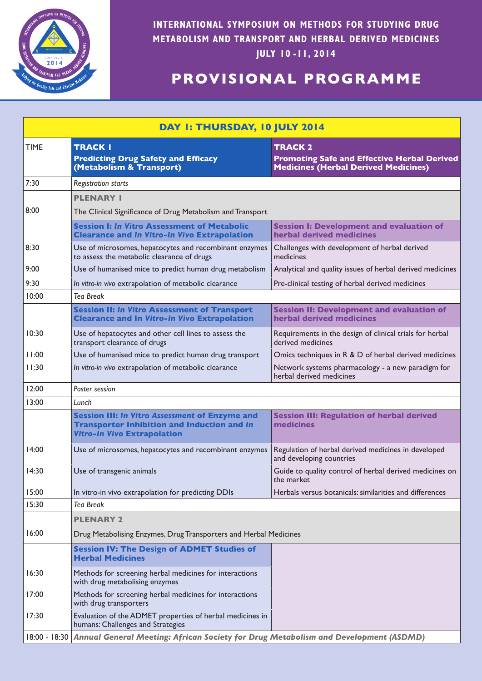

**INTERNATIONAL SYMPOSIUM ON METHODS FOR STUDYING DRUG METABOLISM AND TRANSPORT AND HERBAL DERIVED MEDICINES JULY 10 -11, 2014**

## **PROVISIONAL PROGRAMME**

| DAY I: THURSDAY, 10 JULY 2014 |                                                                                                                                                   |                                                                                                                     |
|-------------------------------|---------------------------------------------------------------------------------------------------------------------------------------------------|---------------------------------------------------------------------------------------------------------------------|
| <b>TIME</b>                   | <b>TRACK I</b><br><b>Predicting Drug Safety and Efficacy</b><br>(Metabolism & Transport)                                                          | <b>TRACK 2</b><br><b>Promoting Safe and Effective Herbal Derived</b><br><b>Medicines (Herbal Derived Medicines)</b> |
| 7:30                          | Registration starts                                                                                                                               |                                                                                                                     |
|                               | <b>PLENARY I</b>                                                                                                                                  |                                                                                                                     |
| 8:00                          | The Clinical Significance of Drug Metabolism and Transport                                                                                        |                                                                                                                     |
|                               | <b>Session I: In Vitro Assessment of Metabolic</b><br><b>Clearance and In Vitro-In Vivo Extrapolation</b>                                         | <b>Session I: Development and evaluation of</b><br>herbal derived medicines                                         |
| 8:30                          | Use of microsomes, hepatocytes and recombinant enzymes<br>to assess the metabolic clearance of drugs                                              | Challenges with development of herbal derived<br>medicines                                                          |
| 9:00                          | Use of humanised mice to predict human drug metabolism                                                                                            | Analytical and quality issues of herbal derived medicines                                                           |
| 9:30                          | In vitro-in vivo extrapolation of metabolic clearance                                                                                             | Pre-clinical testing of herbal derived medicines                                                                    |
| 10:00                         | <b>Tea Break</b>                                                                                                                                  |                                                                                                                     |
|                               | <b>Session II: In Vitro Assessment of Transport</b><br><b>Clearance and In Vitro-In Vivo Extrapolation</b>                                        | <b>Session II: Development and evaluation of</b><br>herbal derived medicines                                        |
| 10:30                         | Use of hepatocytes and other cell lines to assess the<br>transport clearance of drugs                                                             | Requirements in the design of clinical trials for herbal<br>derived medicines                                       |
| 11:00                         | Use of humanised mice to predict human drug transport                                                                                             | Omics techniques in R & D of herbal derived medicines                                                               |
| 11:30                         | In vitro-in vivo extrapolation of metabolic clearance                                                                                             | Network systems pharmacology - a new paradigm for<br>herbal derived medicines                                       |
| 12:00                         | Poster session                                                                                                                                    |                                                                                                                     |
| 13:00                         | Lunch                                                                                                                                             |                                                                                                                     |
|                               | <b>Session III: In Vitro Assessment of Enzyme and</b><br><b>Transporter Inhibition and Induction and In</b><br><b>Vitro-In Vivo Extrapolation</b> | <b>Session III: Regulation of herbal derived</b><br>medicines                                                       |
| 14:00                         | Use of microsomes, hepatocytes and recombinant enzymes                                                                                            | Regulation of herbal derived medicines in developed<br>and developing countries                                     |
| 14:30                         | Use of transgenic animals                                                                                                                         | Guide to quality control of herbal derived medicines on<br>the market                                               |
| 15:00                         | In vitro-in vivo extrapolation for predicting DDIs                                                                                                | Herbals versus botanicals: similarities and differences                                                             |
| 15:30                         | <b>Tea Break</b>                                                                                                                                  |                                                                                                                     |
|                               | <b>PLENARY 2</b>                                                                                                                                  |                                                                                                                     |
| 16:00                         | Drug Metabolising Enzymes, Drug Transporters and Herbal Medicines                                                                                 |                                                                                                                     |
|                               | <b>Session IV: The Design of ADMET Studies of</b><br><b>Herbal Medicines</b>                                                                      |                                                                                                                     |
| 16:30                         | Methods for screening herbal medicines for interactions<br>with drug metabolising enzymes                                                         |                                                                                                                     |
| 17:00                         | Methods for screening herbal medicines for interactions<br>with drug transporters                                                                 |                                                                                                                     |
| 17:30                         | Evaluation of the ADMET properties of herbal medicines in<br>humans: Challenges and Strategies                                                    |                                                                                                                     |
| 18:00 - 18:30                 | Annual General Meeting: African Society for Drug Metabolism and Development (ASDMD)                                                               |                                                                                                                     |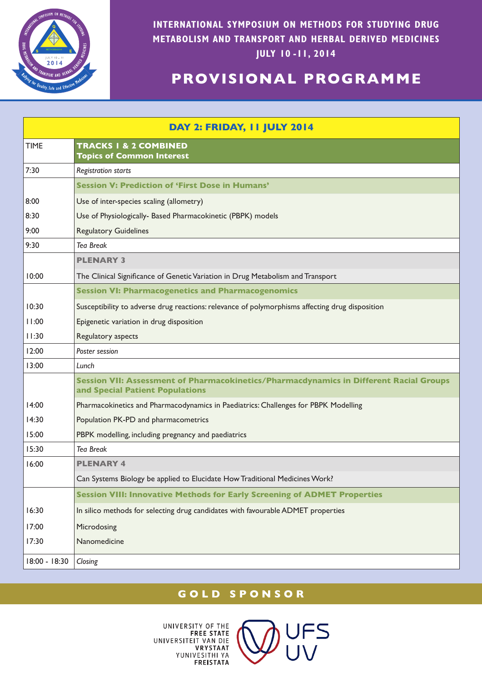

**INTERNATIONAL SYMPOSIUM ON METHODS FOR STUDYING DRUG METABOLISM AND TRANSPORT AND HERBAL DERIVED MEDICINES JULY 10 -11, 2014**

## **PROVISIONAL PROGRAMME**

| DAY 2: FRIDAY, II JULY 2014 |                                                                                                                           |  |
|-----------------------------|---------------------------------------------------------------------------------------------------------------------------|--|
| <b>TIME</b>                 | <b>TRACKS I &amp; 2 COMBINED</b><br><b>Topics of Common Interest</b>                                                      |  |
| 7:30                        | <b>Registration starts</b>                                                                                                |  |
|                             | <b>Session V: Prediction of 'First Dose in Humans'</b>                                                                    |  |
| 8:00                        | Use of inter-species scaling (allometry)                                                                                  |  |
| 8:30                        | Use of Physiologically- Based Pharmacokinetic (PBPK) models                                                               |  |
| 9:00                        | <b>Regulatory Guidelines</b>                                                                                              |  |
| 9:30                        | <b>Tea Break</b>                                                                                                          |  |
|                             | <b>PLENARY 3</b>                                                                                                          |  |
| 10:00                       | The Clinical Significance of Genetic Variation in Drug Metabolism and Transport                                           |  |
|                             | <b>Session VI: Pharmacogenetics and Pharmacogenomics</b>                                                                  |  |
| 10:30                       | Susceptibility to adverse drug reactions: relevance of polymorphisms affecting drug disposition                           |  |
| 11:00                       | Epigenetic variation in drug disposition                                                                                  |  |
| 11:30                       | Regulatory aspects                                                                                                        |  |
| 12:00                       | Poster session                                                                                                            |  |
| 13:00                       | Lunch                                                                                                                     |  |
|                             | Session VII: Assessment of Pharmacokinetics/Pharmacdynamics in Different Racial Groups<br>and Special Patient Populations |  |
| 14:00                       | Pharmacokinetics and Pharmacodynamics in Paediatrics: Challenges for PBPK Modelling                                       |  |
| 14:30                       | Population PK-PD and pharmacometrics                                                                                      |  |
| 15:00                       | PBPK modelling, including pregnancy and paediatrics                                                                       |  |
| 15:30                       | <b>Tea Break</b>                                                                                                          |  |
| 16:00                       | <b>PLENARY 4</b>                                                                                                          |  |
|                             | Can Systems Biology be applied to Elucidate How Traditional Medicines Work?                                               |  |
|                             | <b>Session VIII: Innovative Methods for Early Screening of ADMET Properties</b>                                           |  |
| 16:30                       | In silico methods for selecting drug candidates with favourable ADMET properties                                          |  |
| 17:00                       | Microdosing                                                                                                               |  |
| 17:30                       | Nanomedicine                                                                                                              |  |
| 18:00 - 18:30               | Closing                                                                                                                   |  |

## **GOLD SPONSOR**

UNIVERSITY OF THE **FREE STATE** UNIVERSITEIT VAN DIE **VRYSTAAT** YUNIVESITHI YA **FREISTATA**